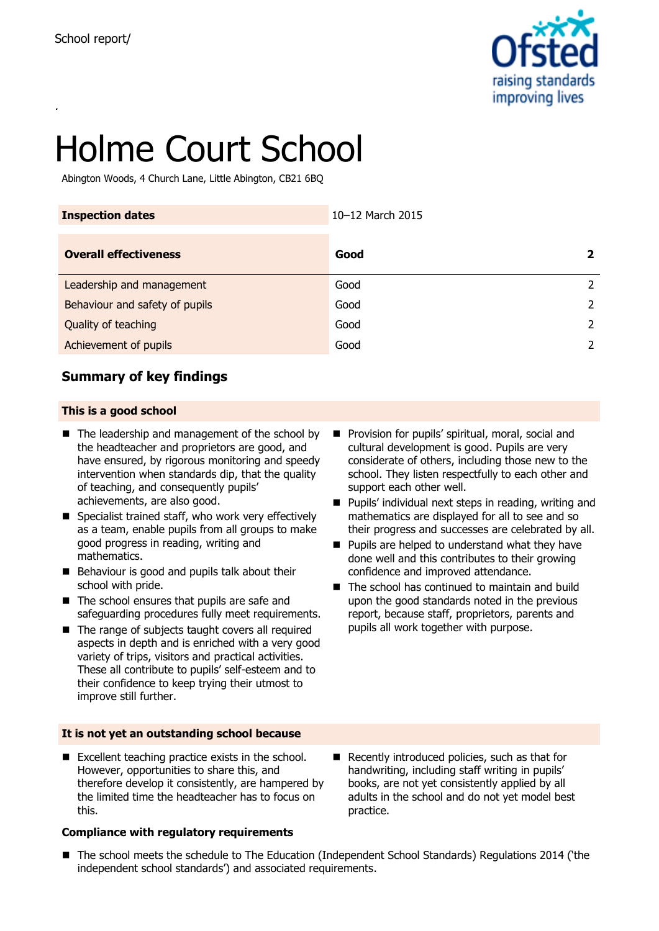

# Holme Court School

Abington Woods, 4 Church Lane, Little Abington, CB21 6BQ

| <b>Inspection dates</b>        | 10-12 March 2015 |               |
|--------------------------------|------------------|---------------|
| <b>Overall effectiveness</b>   | Good             | $\mathbf{2}$  |
| Leadership and management      | Good             | 2             |
| Behaviour and safety of pupils | Good             | 2             |
| Quality of teaching            | Good             | 2             |
| Achievement of pupils          | Good             | $\mathcal{L}$ |

## **Summary of key findings**

#### **This is a good school**

- The leadership and management of the school by the headteacher and proprietors are good, and have ensured, by rigorous monitoring and speedy intervention when standards dip, that the quality of teaching, and consequently pupils' achievements, are also good.
- $\blacksquare$  Specialist trained staff, who work very effectively as a team, enable pupils from all groups to make good progress in reading, writing and mathematics.
- Behaviour is good and pupils talk about their school with pride.
- $\blacksquare$  The school ensures that pupils are safe and safeguarding procedures fully meet requirements.
- The range of subjects taught covers all required aspects in depth and is enriched with a very good variety of trips, visitors and practical activities. These all contribute to pupils' self-esteem and to their confidence to keep trying their utmost to improve still further.
- **It is not yet an outstanding school because**
- Excellent teaching practice exists in the school. However, opportunities to share this, and therefore develop it consistently, are hampered by the limited time the headteacher has to focus on this.

#### **Compliance with regulatory requirements**

- Provision for pupils' spiritual, moral, social and cultural development is good. Pupils are very considerate of others, including those new to the school. They listen respectfully to each other and support each other well.
- $\blacksquare$  Pupils' individual next steps in reading, writing and mathematics are displayed for all to see and so their progress and successes are celebrated by all.
- $\blacksquare$  Pupils are helped to understand what they have done well and this contributes to their growing confidence and improved attendance.
- $\blacksquare$  The school has continued to maintain and build upon the good standards noted in the previous report, because staff, proprietors, parents and pupils all work together with purpose.

- Recently introduced policies, such as that for handwriting, including staff writing in pupils' books, are not yet consistently applied by all adults in the school and do not yet model best practice.
- The school meets the schedule to The Education (Independent School Standards) Regulations 2014 ('the independent school standards') and associated requirements.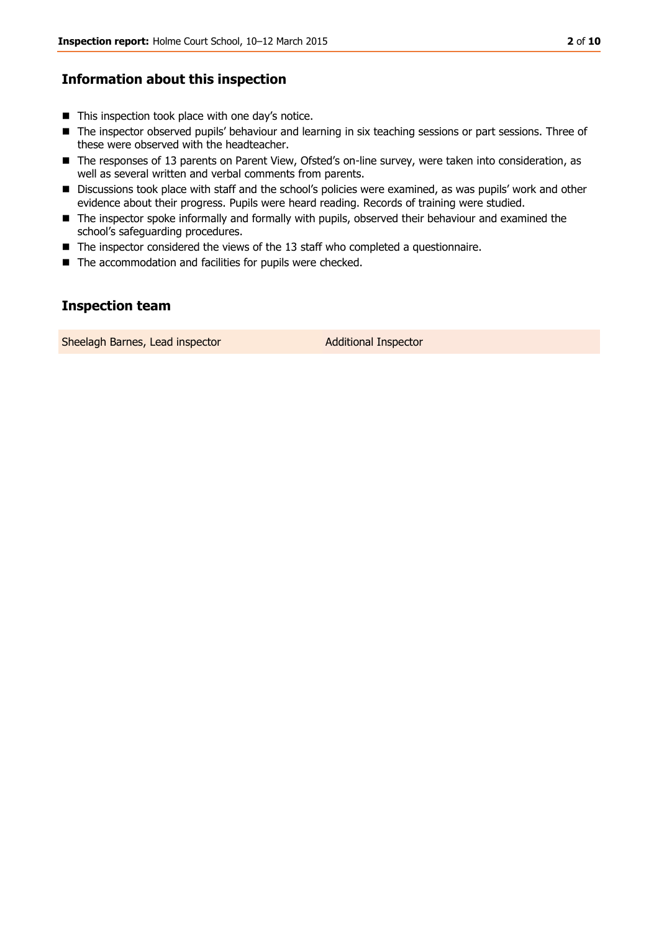## **Information about this inspection**

- $\blacksquare$  This inspection took place with one day's notice.
- The inspector observed pupils' behaviour and learning in six teaching sessions or part sessions. Three of these were observed with the headteacher.
- The responses of 13 parents on Parent View, Ofsted's on-line survey, were taken into consideration, as well as several written and verbal comments from parents.
- **Discussions took place with staff and the school's policies were examined, as was pupils' work and other** evidence about their progress. Pupils were heard reading. Records of training were studied.
- **The inspector spoke informally and formally with pupils, observed their behaviour and examined the** school's safeguarding procedures.
- The inspector considered the views of the 13 staff who completed a questionnaire.
- The accommodation and facilities for pupils were checked.

## **Inspection team**

Sheelagh Barnes, Lead inspector **Additional Inspector** Additional Inspector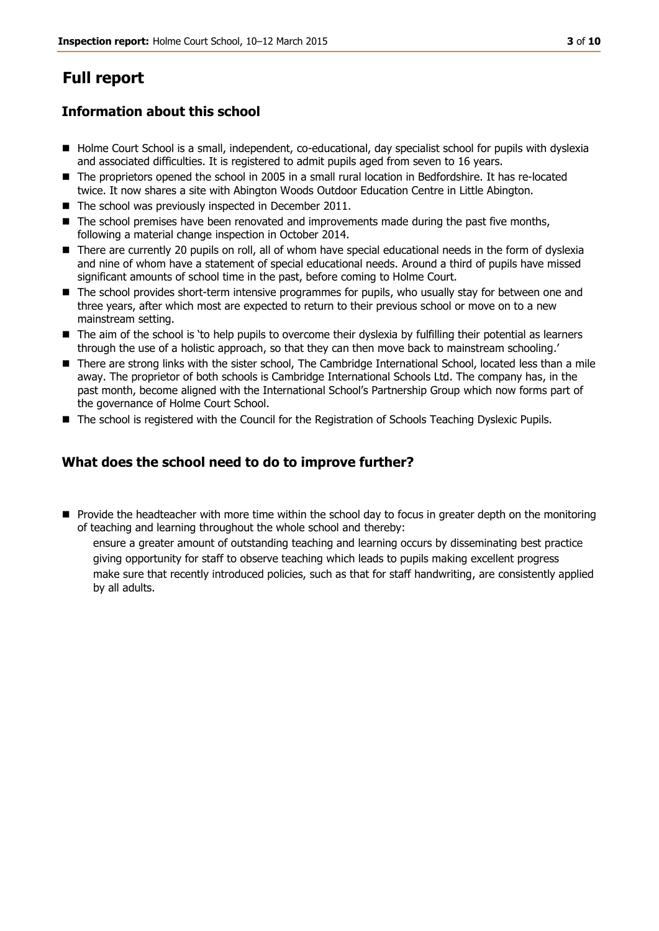## **Full report**

## **Information about this school**

- Holme Court School is a small, independent, co-educational, day specialist school for pupils with dyslexia and associated difficulties. It is registered to admit pupils aged from seven to 16 years.
- The proprietors opened the school in 2005 in a small rural location in Bedfordshire. It has re-located twice. It now shares a site with Abington Woods Outdoor Education Centre in Little Abington.
- The school was previously inspected in December 2011.
- The school premises have been renovated and improvements made during the past five months, following a material change inspection in October 2014.
- There are currently 20 pupils on roll, all of whom have special educational needs in the form of dyslexia and nine of whom have a statement of special educational needs. Around a third of pupils have missed significant amounts of school time in the past, before coming to Holme Court.
- The school provides short-term intensive programmes for pupils, who usually stay for between one and three years, after which most are expected to return to their previous school or move on to a new mainstream setting.
- The aim of the school is 'to help pupils to overcome their dyslexia by fulfilling their potential as learners through the use of a holistic approach, so that they can then move back to mainstream schooling.'
- There are strong links with the sister school, The Cambridge International School, located less than a mile away. The proprietor of both schools is Cambridge International Schools Ltd. The company has, in the past month, become aligned with the International School's Partnership Group which now forms part of the governance of Holme Court School.
- The school is registered with the Council for the Registration of Schools Teaching Dyslexic Pupils.

### **What does the school need to do to improve further?**

**Provide the headteacher with more time within the school day to focus in greater depth on the monitoring** of teaching and learning throughout the whole school and thereby:

ensure a greater amount of outstanding teaching and learning occurs by disseminating best practice giving opportunity for staff to observe teaching which leads to pupils making excellent progress make sure that recently introduced policies, such as that for staff handwriting, are consistently applied by all adults.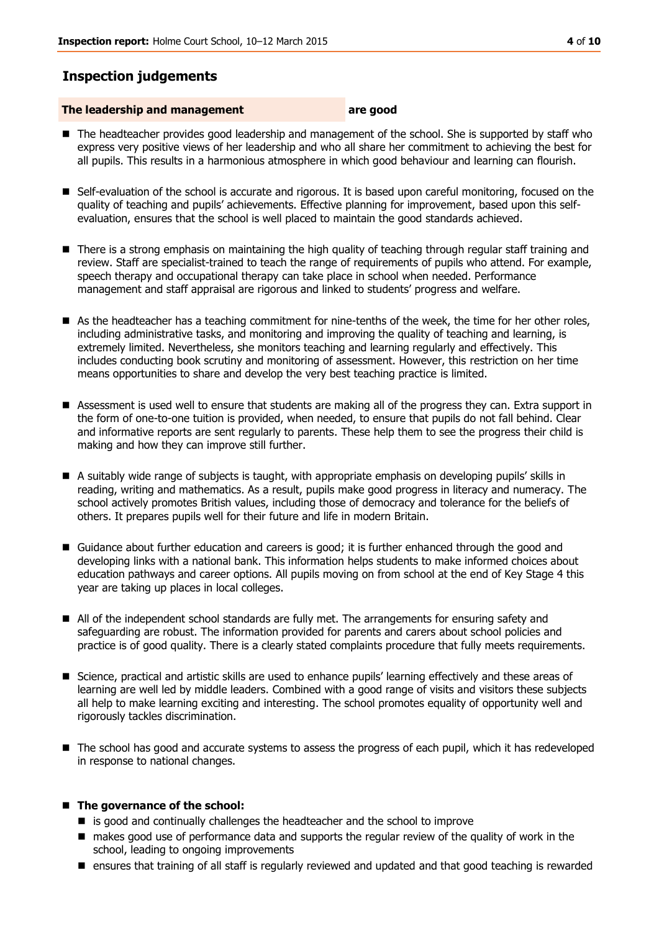## **Inspection judgements**

#### **The leadership and management are good**

- The headteacher provides good leadership and management of the school. She is supported by staff who express very positive views of her leadership and who all share her commitment to achieving the best for all pupils. This results in a harmonious atmosphere in which good behaviour and learning can flourish.
- Self-evaluation of the school is accurate and rigorous. It is based upon careful monitoring, focused on the quality of teaching and pupils' achievements. Effective planning for improvement, based upon this selfevaluation, ensures that the school is well placed to maintain the good standards achieved.
- There is a strong emphasis on maintaining the high quality of teaching through regular staff training and review. Staff are specialist-trained to teach the range of requirements of pupils who attend. For example, speech therapy and occupational therapy can take place in school when needed. Performance management and staff appraisal are rigorous and linked to students' progress and welfare.
- As the headteacher has a teaching commitment for nine-tenths of the week, the time for her other roles, including administrative tasks, and monitoring and improving the quality of teaching and learning, is extremely limited. Nevertheless, she monitors teaching and learning regularly and effectively. This includes conducting book scrutiny and monitoring of assessment. However, this restriction on her time means opportunities to share and develop the very best teaching practice is limited.
- Assessment is used well to ensure that students are making all of the progress they can. Extra support in the form of one-to-one tuition is provided, when needed, to ensure that pupils do not fall behind. Clear and informative reports are sent regularly to parents. These help them to see the progress their child is making and how they can improve still further.
- A suitably wide range of subjects is taught, with appropriate emphasis on developing pupils' skills in reading, writing and mathematics. As a result, pupils make good progress in literacy and numeracy. The school actively promotes British values, including those of democracy and tolerance for the beliefs of others. It prepares pupils well for their future and life in modern Britain.
- Guidance about further education and careers is good; it is further enhanced through the good and developing links with a national bank. This information helps students to make informed choices about education pathways and career options. All pupils moving on from school at the end of Key Stage 4 this year are taking up places in local colleges.
- All of the independent school standards are fully met. The arrangements for ensuring safety and safeguarding are robust. The information provided for parents and carers about school policies and practice is of good quality. There is a clearly stated complaints procedure that fully meets requirements.
- Science, practical and artistic skills are used to enhance pupils' learning effectively and these areas of learning are well led by middle leaders. Combined with a good range of visits and visitors these subjects all help to make learning exciting and interesting. The school promotes equality of opportunity well and rigorously tackles discrimination.
- The school has good and accurate systems to assess the progress of each pupil, which it has redeveloped in response to national changes.

#### ■ The governance of the school:

- is good and continually challenges the headteacher and the school to improve
- makes good use of performance data and supports the regular review of the quality of work in the school, leading to ongoing improvements
- ensures that training of all staff is regularly reviewed and updated and that good teaching is rewarded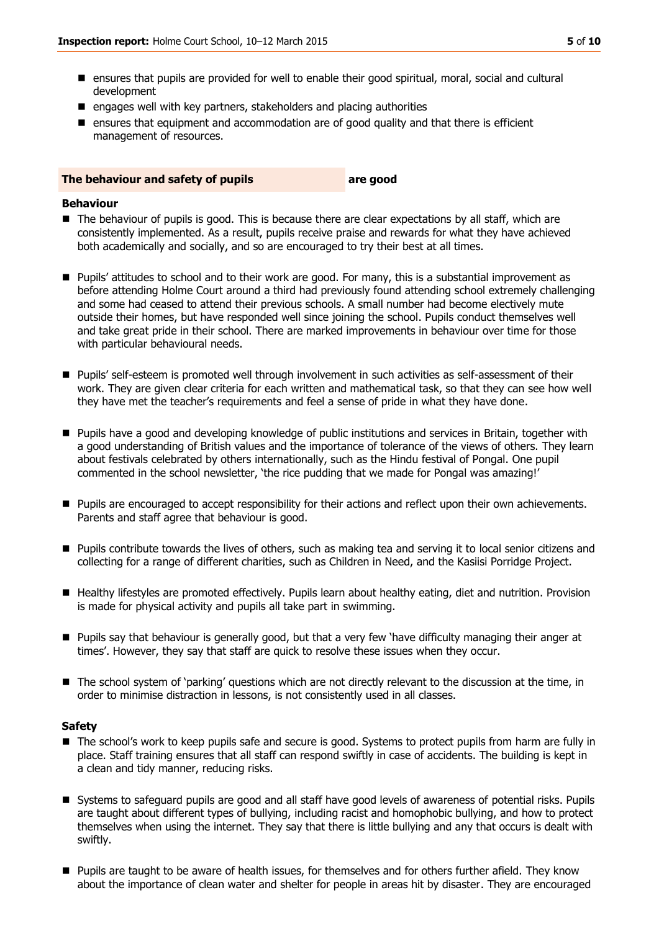- ensures that pupils are provided for well to enable their good spiritual, moral, social and cultural development
- $\blacksquare$  engages well with key partners, stakeholders and placing authorities
- **E** ensures that equipment and accommodation are of good quality and that there is efficient management of resources.

#### **The behaviour and safety of pupils are good**

#### **Behaviour**

- The behaviour of pupils is good. This is because there are clear expectations by all staff, which are consistently implemented. As a result, pupils receive praise and rewards for what they have achieved both academically and socially, and so are encouraged to try their best at all times.
- Pupils' attitudes to school and to their work are good. For many, this is a substantial improvement as before attending Holme Court around a third had previously found attending school extremely challenging and some had ceased to attend their previous schools. A small number had become electively mute outside their homes, but have responded well since joining the school. Pupils conduct themselves well and take great pride in their school. There are marked improvements in behaviour over time for those with particular behavioural needs.
- Pupils' self-esteem is promoted well through involvement in such activities as self-assessment of their work. They are given clear criteria for each written and mathematical task, so that they can see how well they have met the teacher's requirements and feel a sense of pride in what they have done.
- **Pupils have a good and developing knowledge of public institutions and services in Britain, together with** a good understanding of British values and the importance of tolerance of the views of others. They learn about festivals celebrated by others internationally, such as the Hindu festival of Pongal. One pupil commented in the school newsletter, 'the rice pudding that we made for Pongal was amazing!'
- **Pupils are encouraged to accept responsibility for their actions and reflect upon their own achievements.** Parents and staff agree that behaviour is good.
- Pupils contribute towards the lives of others, such as making tea and serving it to local senior citizens and collecting for a range of different charities, such as Children in Need, and the Kasiisi Porridge Project.
- Healthy lifestyles are promoted effectively. Pupils learn about healthy eating, diet and nutrition. Provision is made for physical activity and pupils all take part in swimming.
- Pupils say that behaviour is generally good, but that a very few 'have difficulty managing their anger at times'. However, they say that staff are quick to resolve these issues when they occur.
- The school system of 'parking' questions which are not directly relevant to the discussion at the time, in order to minimise distraction in lessons, is not consistently used in all classes.

#### **Safety**

- The school's work to keep pupils safe and secure is good. Systems to protect pupils from harm are fully in place. Staff training ensures that all staff can respond swiftly in case of accidents. The building is kept in a clean and tidy manner, reducing risks.
- Systems to safeguard pupils are good and all staff have good levels of awareness of potential risks. Pupils are taught about different types of bullying, including racist and homophobic bullying, and how to protect themselves when using the internet. They say that there is little bullying and any that occurs is dealt with swiftly.
- **Pupils are taught to be aware of health issues, for themselves and for others further afield. They know** about the importance of clean water and shelter for people in areas hit by disaster. They are encouraged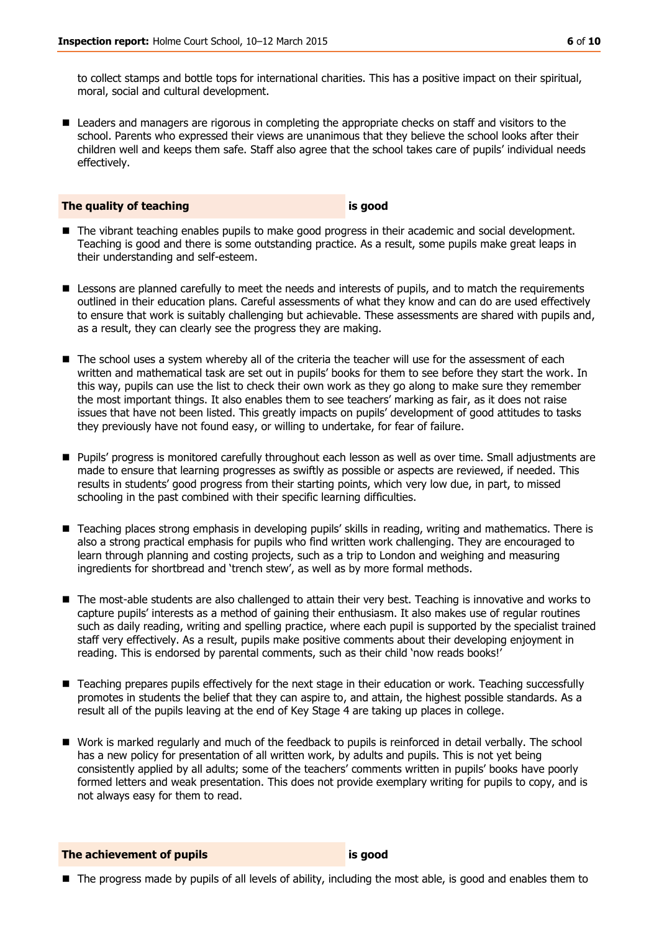to collect stamps and bottle tops for international charities. This has a positive impact on their spiritual, moral, social and cultural development.

■ Leaders and managers are rigorous in completing the appropriate checks on staff and visitors to the school. Parents who expressed their views are unanimous that they believe the school looks after their children well and keeps them safe. Staff also agree that the school takes care of pupils' individual needs effectively.

#### **The quality of teaching is good**

- The vibrant teaching enables pupils to make good progress in their academic and social development. Teaching is good and there is some outstanding practice. As a result, some pupils make great leaps in their understanding and self-esteem.
- **E** Lessons are planned carefully to meet the needs and interests of pupils, and to match the requirements outlined in their education plans. Careful assessments of what they know and can do are used effectively to ensure that work is suitably challenging but achievable. These assessments are shared with pupils and, as a result, they can clearly see the progress they are making.
- The school uses a system whereby all of the criteria the teacher will use for the assessment of each written and mathematical task are set out in pupils' books for them to see before they start the work. In this way, pupils can use the list to check their own work as they go along to make sure they remember the most important things. It also enables them to see teachers' marking as fair, as it does not raise issues that have not been listed. This greatly impacts on pupils' development of good attitudes to tasks they previously have not found easy, or willing to undertake, for fear of failure.
- **Pupils' progress is monitored carefully throughout each lesson as well as over time. Small adjustments are** made to ensure that learning progresses as swiftly as possible or aspects are reviewed, if needed. This results in students' good progress from their starting points, which very low due, in part, to missed schooling in the past combined with their specific learning difficulties.
- Teaching places strong emphasis in developing pupils' skills in reading, writing and mathematics. There is also a strong practical emphasis for pupils who find written work challenging. They are encouraged to learn through planning and costing projects, such as a trip to London and weighing and measuring ingredients for shortbread and 'trench stew', as well as by more formal methods.
- The most-able students are also challenged to attain their very best. Teaching is innovative and works to capture pupils' interests as a method of gaining their enthusiasm. It also makes use of regular routines such as daily reading, writing and spelling practice, where each pupil is supported by the specialist trained staff very effectively. As a result, pupils make positive comments about their developing enjoyment in reading. This is endorsed by parental comments, such as their child 'now reads books!'
- Teaching prepares pupils effectively for the next stage in their education or work. Teaching successfully promotes in students the belief that they can aspire to, and attain, the highest possible standards. As a result all of the pupils leaving at the end of Key Stage 4 are taking up places in college.
- Work is marked regularly and much of the feedback to pupils is reinforced in detail verbally. The school has a new policy for presentation of all written work, by adults and pupils. This is not yet being consistently applied by all adults; some of the teachers' comments written in pupils' books have poorly formed letters and weak presentation. This does not provide exemplary writing for pupils to copy, and is not always easy for them to read.

**The achievement of pupils is good**

■ The progress made by pupils of all levels of ability, including the most able, is good and enables them to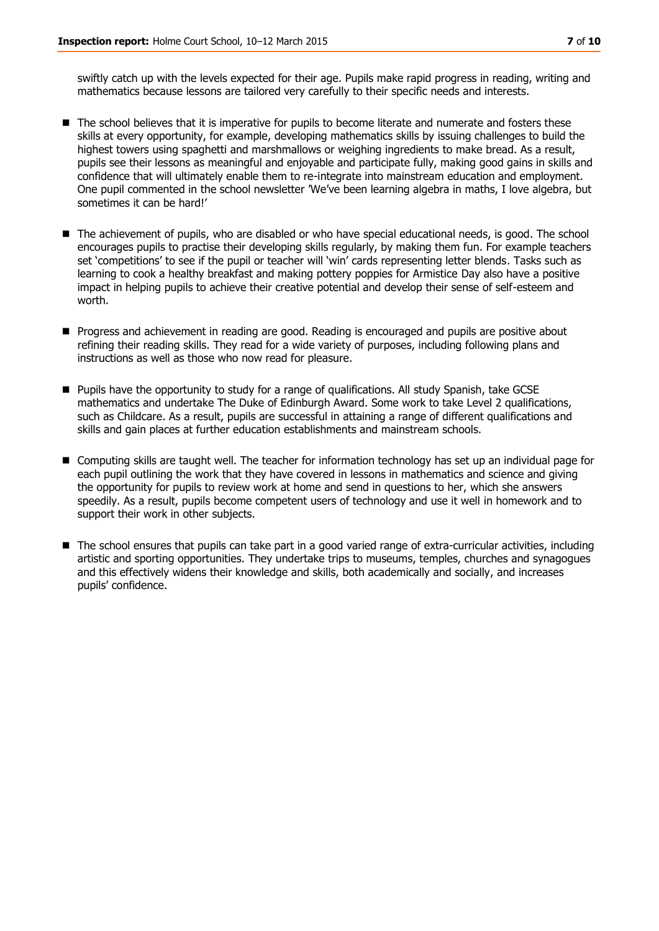swiftly catch up with the levels expected for their age. Pupils make rapid progress in reading, writing and mathematics because lessons are tailored very carefully to their specific needs and interests.

- The school believes that it is imperative for pupils to become literate and numerate and fosters these skills at every opportunity, for example, developing mathematics skills by issuing challenges to build the highest towers using spaghetti and marshmallows or weighing ingredients to make bread. As a result, pupils see their lessons as meaningful and enjoyable and participate fully, making good gains in skills and confidence that will ultimately enable them to re-integrate into mainstream education and employment. One pupil commented in the school newsletter 'We've been learning algebra in maths, I love algebra, but sometimes it can be hard!'
- The achievement of pupils, who are disabled or who have special educational needs, is good. The school encourages pupils to practise their developing skills regularly, by making them fun. For example teachers set 'competitions' to see if the pupil or teacher will 'win' cards representing letter blends. Tasks such as learning to cook a healthy breakfast and making pottery poppies for Armistice Day also have a positive impact in helping pupils to achieve their creative potential and develop their sense of self-esteem and worth.
- **Progress and achievement in reading are good. Reading is encouraged and pupils are positive about** refining their reading skills. They read for a wide variety of purposes, including following plans and instructions as well as those who now read for pleasure.
- Pupils have the opportunity to study for a range of qualifications. All study Spanish, take GCSE mathematics and undertake The Duke of Edinburgh Award. Some work to take Level 2 qualifications, such as Childcare. As a result, pupils are successful in attaining a range of different qualifications and skills and gain places at further education establishments and mainstream schools.
- Computing skills are taught well. The teacher for information technology has set up an individual page for each pupil outlining the work that they have covered in lessons in mathematics and science and giving the opportunity for pupils to review work at home and send in questions to her, which she answers speedily. As a result, pupils become competent users of technology and use it well in homework and to support their work in other subjects.
- The school ensures that pupils can take part in a good varied range of extra-curricular activities, including artistic and sporting opportunities. They undertake trips to museums, temples, churches and synagogues and this effectively widens their knowledge and skills, both academically and socially, and increases pupils' confidence.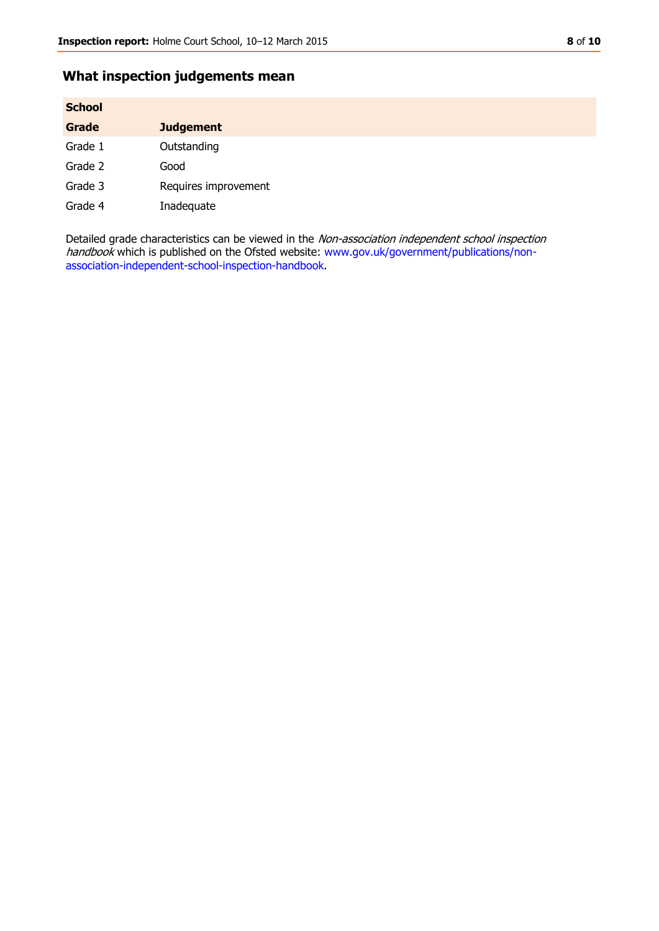## **What inspection judgements mean**

| <b>School</b> |                      |
|---------------|----------------------|
| Grade         | <b>Judgement</b>     |
| Grade 1       | Outstanding          |
| Grade 2       | Good                 |
| Grade 3       | Requires improvement |
| Grade 4       | Inadequate           |

Detailed grade characteristics can be viewed in the Non-association independent school inspection handbook which is published on the Ofsted website: [www.gov.uk/government/publications/non](http://www.gov.uk/government/publications/non-association-independent-school-inspection-handbook)[association-independent-school-inspection-handbook.](http://www.gov.uk/government/publications/non-association-independent-school-inspection-handbook)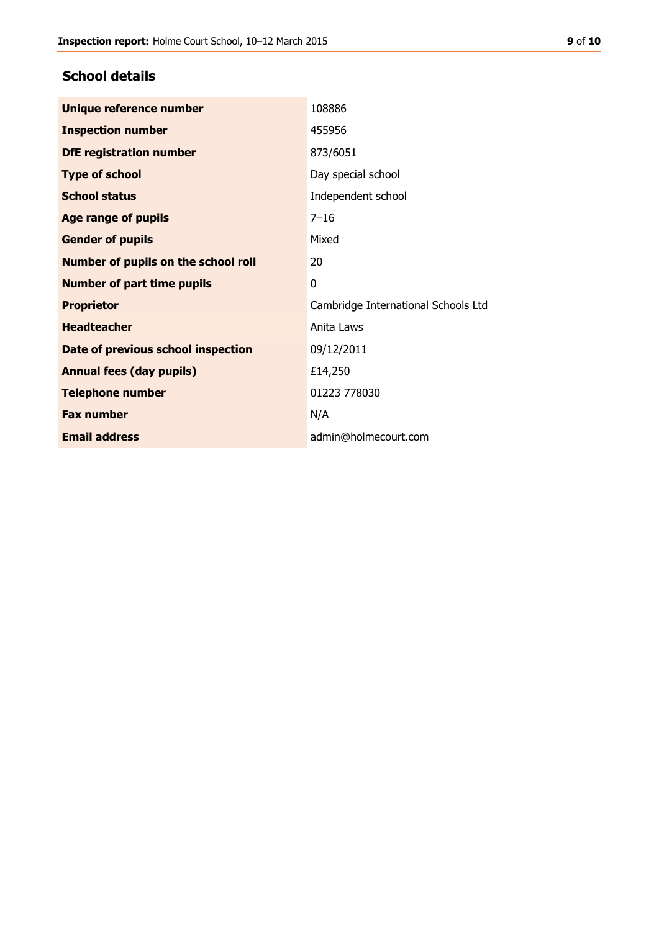## **School details**

| Unique reference number             | 108886                              |
|-------------------------------------|-------------------------------------|
| <b>Inspection number</b>            | 455956                              |
| <b>DfE registration number</b>      | 873/6051                            |
| <b>Type of school</b>               | Day special school                  |
| <b>School status</b>                | Independent school                  |
| <b>Age range of pupils</b>          | $7 - 16$                            |
| <b>Gender of pupils</b>             | Mixed                               |
| Number of pupils on the school roll | 20                                  |
| <b>Number of part time pupils</b>   | 0                                   |
| <b>Proprietor</b>                   | Cambridge International Schools Ltd |
| <b>Headteacher</b>                  | Anita Laws                          |
| Date of previous school inspection  | 09/12/2011                          |
| <b>Annual fees (day pupils)</b>     | £14,250                             |
| <b>Telephone number</b>             | 01223 778030                        |
| <b>Fax number</b>                   | N/A                                 |
| <b>Email address</b>                | admin@holmecourt.com                |